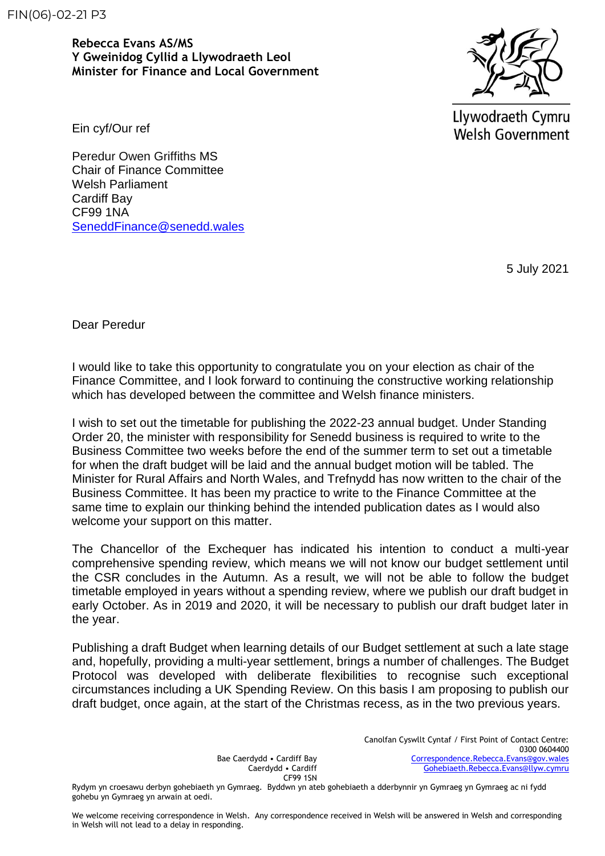FIN(06)-02-21 P3

**Rebecca Evans AS/MS Y Gweinidog Cyllid a Llywodraeth Leol Minister for Finance and Local Government**



Llywodraeth Cymru **Welsh Government** 

Ein cyf/Our ref

Peredur Owen Griffiths MS Chair of Finance Committee Welsh Parliament Cardiff Bay CF99 1NA [SeneddFinance@senedd.wales](mailto:SeneddFinance@senedd.wales)

5 July 2021

Dear Peredur

I would like to take this opportunity to congratulate you on your election as chair of the Finance Committee, and I look forward to continuing the constructive working relationship which has developed between the committee and Welsh finance ministers.

I wish to set out the timetable for publishing the 2022-23 annual budget. Under Standing Order 20, the minister with responsibility for Senedd business is required to write to the Business Committee two weeks before the end of the summer term to set out a timetable for when the draft budget will be laid and the annual budget motion will be tabled. The Minister for Rural Affairs and North Wales, and Trefnydd has now written to the chair of the Business Committee. It has been my practice to write to the Finance Committee at the same time to explain our thinking behind the intended publication dates as I would also welcome your support on this matter.

The Chancellor of the Exchequer has indicated his intention to conduct a multi-year comprehensive spending review, which means we will not know our budget settlement until the CSR concludes in the Autumn. As a result, we will not be able to follow the budget timetable employed in years without a spending review, where we publish our draft budget in early October. As in 2019 and 2020, it will be necessary to publish our draft budget later in the year.

Publishing a draft Budget when learning details of our Budget settlement at such a late stage and, hopefully, providing a multi-year settlement, brings a number of challenges. The Budget Protocol was developed with deliberate flexibilities to recognise such exceptional circumstances including a UK Spending Review. On this basis I am proposing to publish our draft budget, once again, at the start of the Christmas recess, as in the two previous years.

> Bae Caerdydd • Cardiff Bay Caerdydd • Cardiff CF99 1SN

Canolfan Cyswllt Cyntaf / First Point of Contact Centre: 0300 0604400 [Correspondence.Rebecca.Evans@gov.wales](mailto:Correspondence.Rebecca.Evans@gov.wales) [Gohebiaeth.Rebecca.Evans@llyw.cymru](mailto:Gohebiaeth.Rebecca.Evans@llyw.cymru)

Rydym yn croesawu derbyn gohebiaeth yn Gymraeg. Byddwn yn ateb gohebiaeth a dderbynnir yn Gymraeg yn Gymraeg ac ni fydd gohebu yn Gymraeg yn arwain at oedi.

We welcome receiving correspondence in Welsh. Any correspondence received in Welsh will be answered in Welsh and corresponding in Welsh will not lead to a delay in responding.